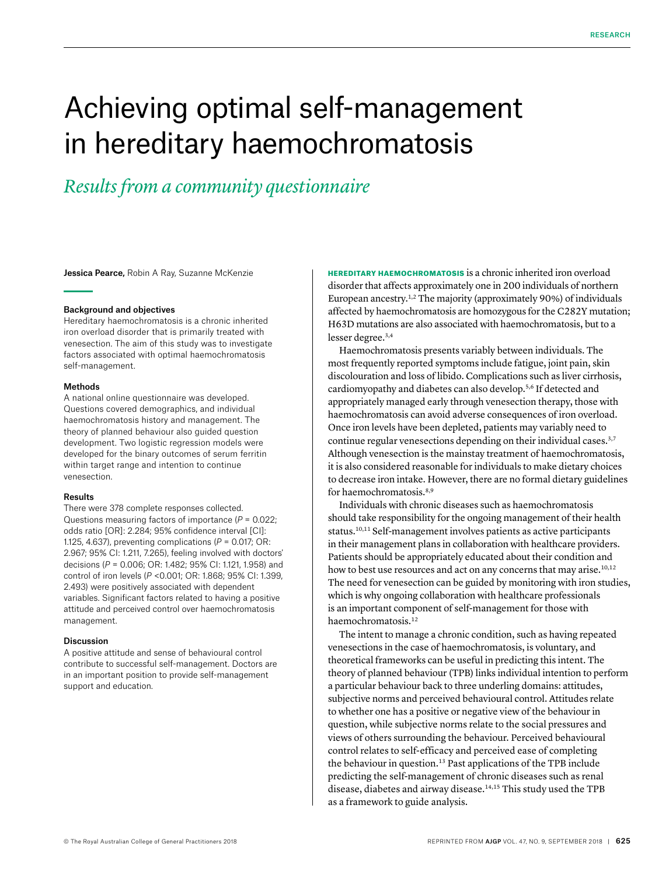# Achieving optimal self-management in hereditary haemochromatosis

## *Results from a community questionnaire*

Jessica Pearce, Robin A Ray, Suzanne McKenzie

#### Background and objectives

Hereditary haemochromatosis is a chronic inherited iron overload disorder that is primarily treated with venesection. The aim of this study was to investigate factors associated with optimal haemochromatosis self-management.

#### Methods

A national online questionnaire was developed. Questions covered demographics, and individual haemochromatosis history and management. The theory of planned behaviour also guided question development. Two logistic regression models were developed for the binary outcomes of serum ferritin within target range and intention to continue venesection.

#### Results

There were 378 complete responses collected. Questions measuring factors of importance (*P* = 0.022; odds ratio [OR]: 2.284; 95% confidence interval [CI]: 1.125, 4.637), preventing complications (*P* = 0.017; OR: 2.967; 95% CI: 1.211, 7.265), feeling involved with doctors' decisions (*P* = 0.006; OR: 1.482; 95% CI: 1.121, 1.958) and control of iron levels (*P* <0.001; OR: 1.868; 95% CI: 1.399, 2.493) were positively associated with dependent variables. Significant factors related to having a positive attitude and perceived control over haemochromatosis management.

#### Discussion

A positive attitude and sense of behavioural control contribute to successful self-management. Doctors are in an important position to provide self-management support and education.

HEREDITARY HAEMOCHROMATOSIS is a chronic inherited iron overload disorder that affects approximately one in 200 individuals of northern European ancestry.1,2 The majority (approximately 90%) of individuals affected by haemochromatosis are homozygous for the C282Y mutation; H63D mutations are also associated with haemochromatosis, but to a lesser degree.3,4

Haemochromatosis presents variably between individuals. The most frequently reported symptoms include fatigue, joint pain, skin discolouration and loss of libido. Complications such as liver cirrhosis, cardiomyopathy and diabetes can also develop.5,6 If detected and appropriately managed early through venesection therapy, those with haemochromatosis can avoid adverse consequences of iron overload. Once iron levels have been depleted, patients may variably need to continue regular venesections depending on their individual cases.<sup>3,7</sup> Although venesection is the mainstay treatment of haemochromatosis, it is also considered reasonable for individuals to make dietary choices to decrease iron intake. However, there are no formal dietary guidelines for haemochromatosis.<sup>8,9</sup>

Individuals with chronic diseases such as haemochromatosis should take responsibility for the ongoing management of their health status.10,11 Self-management involves patients as active participants in their management plans in collaboration with healthcare providers. Patients should be appropriately educated about their condition and how to best use resources and act on any concerns that may arise.<sup>10,12</sup> The need for venesection can be guided by monitoring with iron studies, which is why ongoing collaboration with healthcare professionals is an important component of self-management for those with haemochromatosis.12

The intent to manage a chronic condition, such as having repeated venesections in the case of haemochromatosis, is voluntary, and theoretical frameworks can be useful in predicting this intent. The theory of planned behaviour (TPB) links individual intention to perform a particular behaviour back to three underling domains: attitudes, subjective norms and perceived behavioural control. Attitudes relate to whether one has a positive or negative view of the behaviour in question, while subjective norms relate to the social pressures and views of others surrounding the behaviour. Perceived behavioural control relates to self-efficacy and perceived ease of completing the behaviour in question.13 Past applications of the TPB include predicting the self-management of chronic diseases such as renal disease, diabetes and airway disease.<sup>14,15</sup> This study used the TPB as a framework to guide analysis.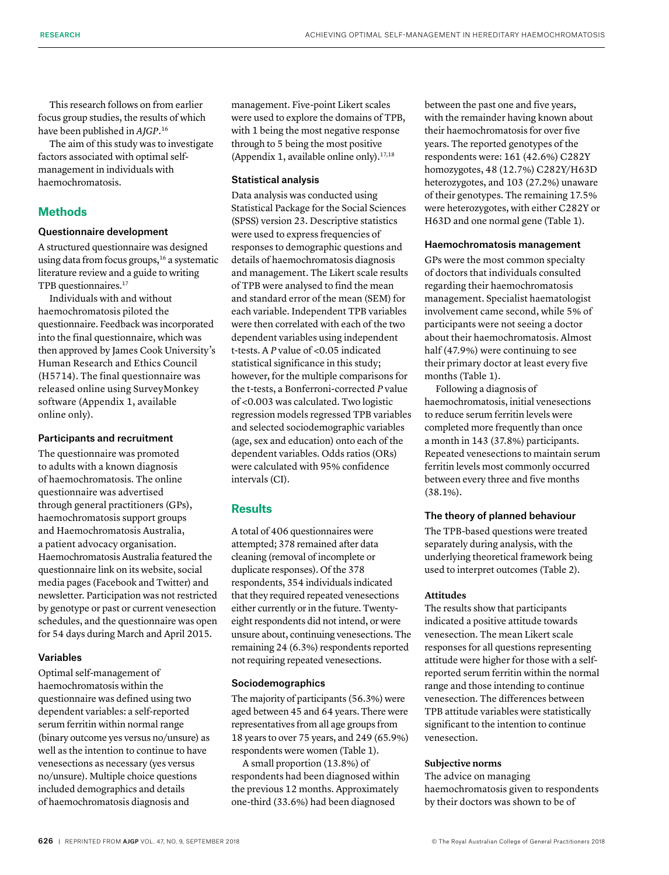This research follows on from earlier focus group studies, the results of which have been published in *AJGP.*<sup>16</sup>

The aim of this study was to investigate factors associated with optimal selfmanagement in individuals with haemochromatosis.

#### **Methods**

#### Questionnaire development

A structured questionnaire was designed using data from focus groups,<sup>16</sup> a systematic literature review and a guide to writing TPB questionnaires.<sup>17</sup>

Individuals with and without haemochromatosis piloted the questionnaire. Feedback was incorporated into the final questionnaire, which was then approved by James Cook University's Human Research and Ethics Council (H5714). The final questionnaire was released online using SurveyMonkey software (Appendix 1, available online only).

#### Participants and recruitment

The questionnaire was promoted to adults with a known diagnosis of haemochromatosis. The online questionnaire was advertised through general practitioners (GPs), haemochromatosis support groups and Haemochromatosis Australia, a patient advocacy organisation. Haemochromatosis Australia featured the questionnaire link on its website, social media pages (Facebook and Twitter) and newsletter. Participation was not restricted by genotype or past or current venesection schedules, and the questionnaire was open for 54 days during March and April 2015.

#### Variables

Optimal self-management of haemochromatosis within the questionnaire was defined using two dependent variables: a self-reported serum ferritin within normal range (binary outcome yes versus no/unsure) as well as the intention to continue to have venesections as necessary (yes versus no/unsure). Multiple choice questions included demographics and details of haemochromatosis diagnosis and

management. Five-point Likert scales were used to explore the domains of TPB, with 1 being the most negative response through to 5 being the most positive (Appendix 1, available online only).17,18

#### Statistical analysis

Data analysis was conducted using Statistical Package for the Social Sciences (SPSS) version 23. Descriptive statistics were used to express frequencies of responses to demographic questions and details of haemochromatosis diagnosis and management. The Likert scale results of TPB were analysed to find the mean and standard error of the mean (SEM) for each variable. Independent TPB variables were then correlated with each of the two dependent variables using independent t*-*tests. A *P* value of <0.05 indicated statistical significance in this study; however, for the multiple comparisons for the t*-*tests, a Bonferroni-corrected *P* value of <0.003 was calculated. Two logistic regression models regressed TPB variables and selected sociodemographic variables (age, sex and education) onto each of the dependent variables. Odds ratios (ORs) were calculated with 95% confidence intervals (CI).

#### **Results**

A total of 406 questionnaires were attempted; 378 remained after data cleaning (removal of incomplete or duplicate responses). Of the 378 respondents, 354 individuals indicated that they required repeated venesections either currently or in the future. Twentyeight respondents did not intend, or were unsure about, continuing venesections. The remaining 24 (6.3%) respondents reported not requiring repeated venesections.

#### Sociodemographics

The majority of participants (56.3%) were aged between 45 and 64 years. There were representatives from all age groups from 18 years to over 75 years, and 249 (65.9%) respondents were women (Table 1).

A small proportion (13.8%) of respondents had been diagnosed within the previous 12 months. Approximately one-third (33.6%) had been diagnosed

between the past one and five years, with the remainder having known about their haemochromatosis for over five years. The reported genotypes of the respondents were: 161 (42.6%) C282Y homozygotes, 48 (12.7%) C282Y/H63D heterozygotes, and 103 (27.2%) unaware of their genotypes. The remaining 17.5% were heterozygotes, with either C282Y or H63D and one normal gene (Table 1).

#### Haemochromatosis management

GPs were the most common specialty of doctors that individuals consulted regarding their haemochromatosis management. Specialist haematologist involvement came second, while 5% of participants were not seeing a doctor about their haemochromatosis. Almost half (47.9%) were continuing to see their primary doctor at least every five months (Table 1).

Following a diagnosis of haemochromatosis, initial venesections to reduce serum ferritin levels were completed more frequently than once a month in 143 (37.8%) participants. Repeated venesections to maintain serum ferritin levels most commonly occurred between every three and five months (38.1%).

#### The theory of planned behaviour

The TPB-based questions were treated separately during analysis, with the underlying theoretical framework being used to interpret outcomes (Table 2).

#### **Attitudes**

The results show that participants indicated a positive attitude towards venesection. The mean Likert scale responses for all questions representing attitude were higher for those with a selfreported serum ferritin within the normal range and those intending to continue venesection. The differences between TPB attitude variables were statistically significant to the intention to continue venesection.

#### **Subjective norms**

The advice on managing haemochromatosis given to respondents by their doctors was shown to be of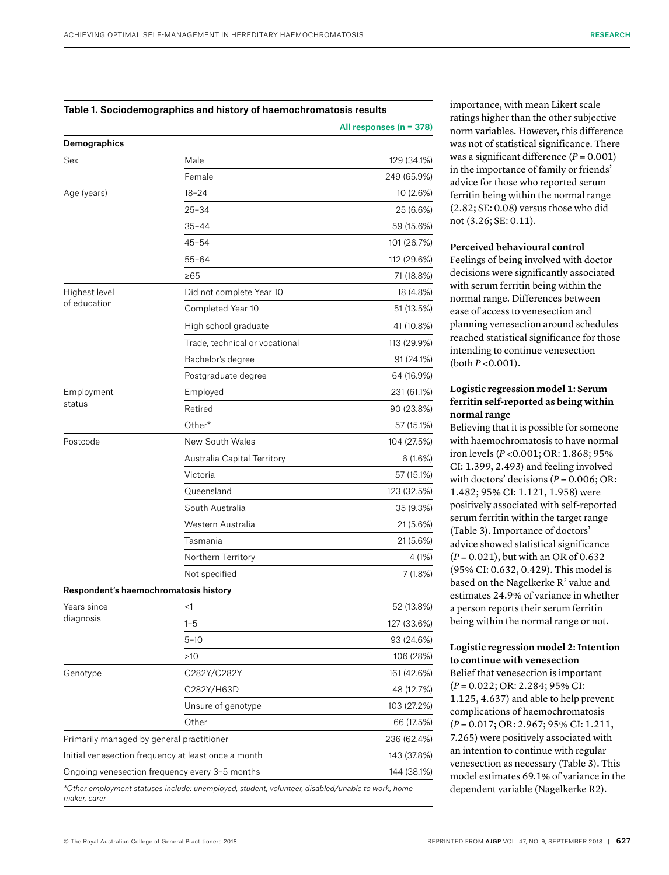### Table 1. Sociodemographics and history of haemochromatosis results

|                                           |                                                                                                   | All responses ( $n = 378$ ) |
|-------------------------------------------|---------------------------------------------------------------------------------------------------|-----------------------------|
| Demographics                              |                                                                                                   |                             |
| Sex                                       | Male                                                                                              | 129 (34.1%)                 |
|                                           | Female                                                                                            | 249 (65.9%)                 |
| Age (years)                               | $18 - 24$                                                                                         | 10 (2.6%)                   |
|                                           | 25-34                                                                                             | 25 (6.6%)                   |
|                                           | $35 - 44$                                                                                         | 59 (15.6%)                  |
|                                           | $45 - 54$                                                                                         | 101 (26.7%)                 |
|                                           | $55 - 64$                                                                                         | 112 (29.6%)                 |
|                                           | $\geq 65$                                                                                         | 71 (18.8%)                  |
| Highest level                             | Did not complete Year 10                                                                          | 18 (4.8%)                   |
| of education                              | Completed Year 10                                                                                 | 51 (13.5%)                  |
|                                           | High school graduate                                                                              | 41 (10.8%)                  |
|                                           | Trade, technical or vocational                                                                    | 113 (29.9%)                 |
|                                           | Bachelor's degree                                                                                 | 91 (24.1%)                  |
|                                           | Postgraduate degree                                                                               | 64 (16.9%)                  |
| Employment                                | Employed                                                                                          | 231 (61.1%)                 |
| status                                    | Retired                                                                                           | 90 (23.8%)                  |
|                                           | Other*                                                                                            | 57 (15.1%)                  |
| Postcode                                  | New South Wales                                                                                   | 104 (27.5%)                 |
|                                           | Australia Capital Territory                                                                       | 6(1.6%)                     |
|                                           | Victoria                                                                                          | 57 (15.1%)                  |
|                                           | Queensland                                                                                        | 123 (32.5%)                 |
|                                           | South Australia                                                                                   | 35 (9.3%)                   |
|                                           | Western Australia                                                                                 | 21 (5.6%)                   |
|                                           | Tasmania                                                                                          | 21 (5.6%)                   |
|                                           | Northern Territory                                                                                | 4 (1%)                      |
|                                           | Not specified                                                                                     | 7 (1.8%)                    |
| Respondent's haemochromatosis history     |                                                                                                   |                             |
| Years since                               | <1                                                                                                | 52 (13.8%)                  |
| diagnosis                                 | $1 - 5$                                                                                           | 127 (33.6%)                 |
|                                           | 5-10                                                                                              | 93 (24.6%)                  |
|                                           | >10                                                                                               | 106 (28%)                   |
| Genotype                                  | C282Y/C282Y                                                                                       | 161 (42.6%)                 |
|                                           | C282Y/H63D                                                                                        | 48 (12.7%)                  |
|                                           | Unsure of genotype                                                                                | 103 (27.2%)                 |
|                                           | Other                                                                                             | 66 (17.5%)                  |
| Primarily managed by general practitioner |                                                                                                   | 236 (62.4%)                 |
|                                           | Initial venesection frequency at least once a month                                               | 143 (37.8%)                 |
|                                           | Ongoing venesection frequency every 3-5 months                                                    | 144 (38.1%)                 |
| maker carer                               | *Other employment statuses include: unemployed, student, volunteer, disabled/unable to work, home |                             |

importance, with mean Likert scale ratings higher than the other subjective norm variables. However, this difference was not of statistical significance. There was a significant difference (*P* = 0.001) in the importance of family or friends' advice for those who reported serum ferritin being within the normal range (2.82; SE: 0.08) versus those who did not (3.26; SE: 0.11).

#### **Perceived behavioural control**

Feelings of being involved with doctor decisions were significantly associated with serum ferritin being within the normal range. Differences between ease of access to venesection and planning venesection around schedules reached statistical significance for those intending to continue venesection (both *P* <0.001).

#### **Logistic regression model 1: Serum ferritin self-reported as being within normal range**

Believing that it is possible for someone with haemochromatosis to have normal iron levels (*P* <0.001; OR: 1.868; 95% CI: 1.399, 2.493) and feeling involved with doctors' decisions  $(P = 0.006; OR:$ 1.482; 95% CI: 1.121, 1.958) were positively associated with self-reported serum ferritin within the target range (Table 3). Importance of doctors' advice showed statistical significance (*P* = 0.021), but with an OR of 0.632 (95% CI: 0.632, 0.429). This model is based on the Nagelkerke  $R^2$  value and estimates 24.9% of variance in whether a person reports their serum ferritin being within the normal range or not.

#### **Logistic regression model 2: Intention to continue with venesection**

Belief that venesection is important (*P* = 0.022; OR: 2.284; 95% CI: 1.125, 4.637) and able to help prevent complications of haemochromatosis (*P* = 0.017; OR: 2.967; 95% CI: 1.211, 7.265) were positively associated with an intention to continue with regular venesection as necessary (Table 3). This model estimates 69.1% of variance in the dependent variable (Nagelkerke R2).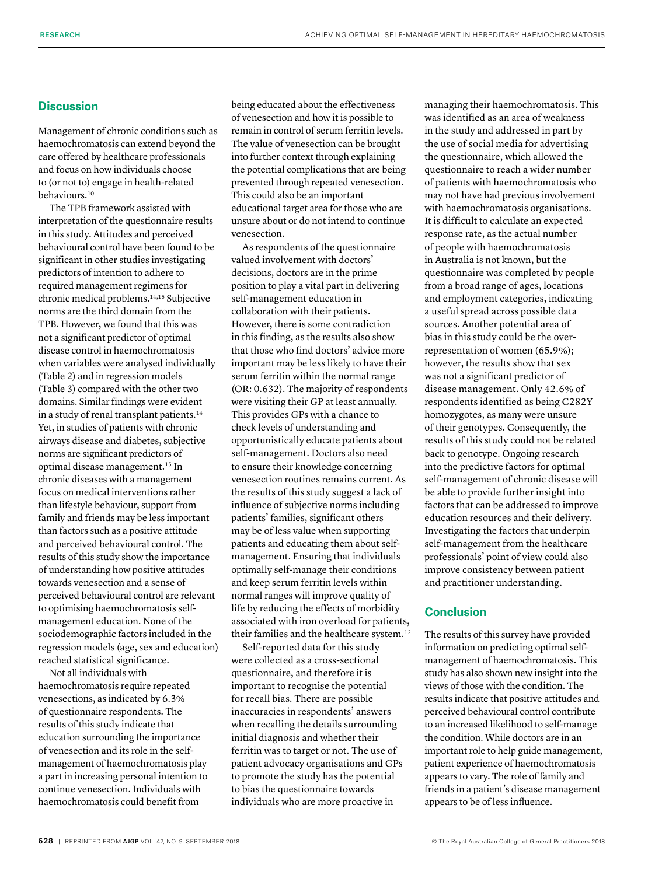#### **Discussion**

Management of chronic conditions such as haemochromatosis can extend beyond the care offered by healthcare professionals and focus on how individuals choose to (or not to) engage in health-related behaviours.<sup>10</sup>

The TPB framework assisted with interpretation of the questionnaire results in this study. Attitudes and perceived behavioural control have been found to be significant in other studies investigating predictors of intention to adhere to required management regimens for chronic medical problems.14,15 Subjective norms are the third domain from the TPB. However, we found that this was not a significant predictor of optimal disease control in haemochromatosis when variables were analysed individually (Table 2) and in regression models (Table 3) compared with the other two domains. Similar findings were evident in a study of renal transplant patients.<sup>14</sup> Yet, in studies of patients with chronic airways disease and diabetes, subjective norms are significant predictors of optimal disease management.15 In chronic diseases with a management focus on medical interventions rather than lifestyle behaviour, support from family and friends may be less important than factors such as a positive attitude and perceived behavioural control. The results of this study show the importance of understanding how positive attitudes towards venesection and a sense of perceived behavioural control are relevant to optimising haemochromatosis selfmanagement education. None of the sociodemographic factors included in the regression models (age, sex and education) reached statistical significance.

Not all individuals with haemochromatosis require repeated venesections, as indicated by 6.3% of questionnaire respondents. The results of this study indicate that education surrounding the importance of venesection and its role in the selfmanagement of haemochromatosis play a part in increasing personal intention to continue venesection. Individuals with haemochromatosis could benefit from

being educated about the effectiveness of venesection and how it is possible to remain in control of serum ferritin levels. The value of venesection can be brought into further context through explaining the potential complications that are being prevented through repeated venesection. This could also be an important educational target area for those who are unsure about or do not intend to continue venesection.

As respondents of the questionnaire valued involvement with doctors' decisions, doctors are in the prime position to play a vital part in delivering self-management education in collaboration with their patients. However, there is some contradiction in this finding, as the results also show that those who find doctors' advice more important may be less likely to have their serum ferritin within the normal range (OR: 0.632). The majority of respondents were visiting their GP at least annually. This provides GPs with a chance to check levels of understanding and opportunistically educate patients about self-management. Doctors also need to ensure their knowledge concerning venesection routines remains current. As the results of this study suggest a lack of influence of subjective norms including patients' families, significant others may be of less value when supporting patients and educating them about selfmanagement. Ensuring that individuals optimally self-manage their conditions and keep serum ferritin levels within normal ranges will improve quality of life by reducing the effects of morbidity associated with iron overload for patients, their families and the healthcare system.<sup>12</sup>

Self-reported data for this study were collected as a cross-sectional questionnaire, and therefore it is important to recognise the potential for recall bias. There are possible inaccuracies in respondents' answers when recalling the details surrounding initial diagnosis and whether their ferritin was to target or not. The use of patient advocacy organisations and GPs to promote the study has the potential to bias the questionnaire towards individuals who are more proactive in

managing their haemochromatosis. This was identified as an area of weakness in the study and addressed in part by the use of social media for advertising the questionnaire, which allowed the questionnaire to reach a wider number of patients with haemochromatosis who may not have had previous involvement with haemochromatosis organisations. It is difficult to calculate an expected response rate, as the actual number of people with haemochromatosis in Australia is not known, but the questionnaire was completed by people from a broad range of ages, locations and employment categories, indicating a useful spread across possible data sources. Another potential area of bias in this study could be the overrepresentation of women (65.9%); however, the results show that sex was not a significant predictor of disease management. Only 42.6% of respondents identified as being C282Y homozygotes, as many were unsure of their genotypes. Consequently, the results of this study could not be related back to genotype. Ongoing research into the predictive factors for optimal self-management of chronic disease will be able to provide further insight into factors that can be addressed to improve education resources and their delivery. Investigating the factors that underpin self-management from the healthcare professionals' point of view could also improve consistency between patient and practitioner understanding.

#### **Conclusion**

The results of this survey have provided information on predicting optimal selfmanagement of haemochromatosis. This study has also shown new insight into the views of those with the condition. The results indicate that positive attitudes and perceived behavioural control contribute to an increased likelihood to self-manage the condition. While doctors are in an important role to help guide management, patient experience of haemochromatosis appears to vary. The role of family and friends in a patient's disease management appears to be of less influence.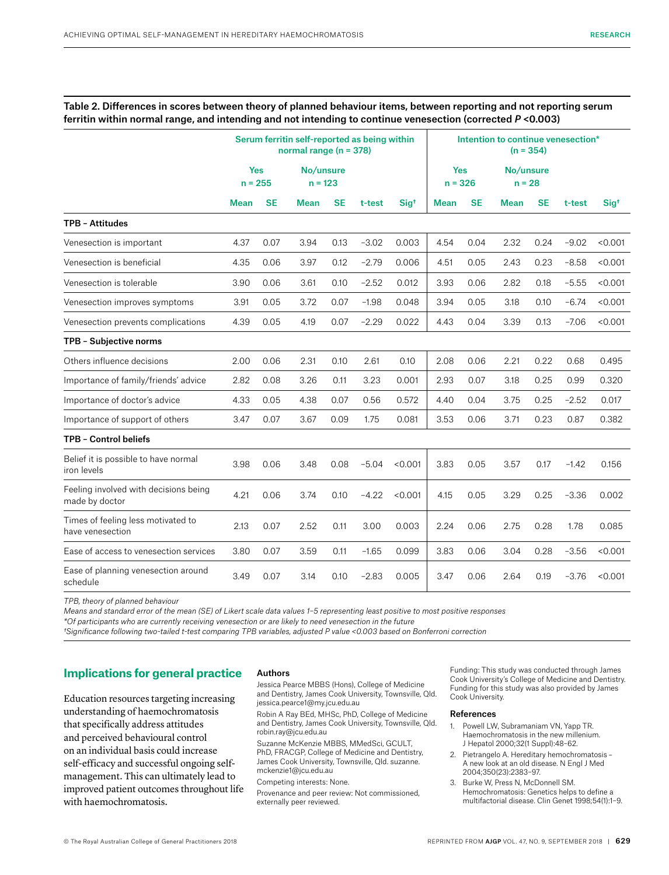#### Table 2. Differences in scores between theory of planned behaviour items, between reporting and not reporting serum ferritin within normal range, and intending and not intending to continue venesection (corrected *P* <0.003)

|                                                         | Serum ferritin self-reported as being within<br>normal range ( $n = 378$ ) |           |                        |      |         | Intention to continue venesection*<br>$(n = 354)$ |                         |           |                       |           |         |                  |
|---------------------------------------------------------|----------------------------------------------------------------------------|-----------|------------------------|------|---------|---------------------------------------------------|-------------------------|-----------|-----------------------|-----------|---------|------------------|
|                                                         | <b>Yes</b><br>$n = 255$                                                    |           | No/unsure<br>$n = 123$ |      |         |                                                   | <b>Yes</b><br>$n = 326$ |           | No/unsure<br>$n = 28$ |           |         |                  |
|                                                         | <b>Mean</b>                                                                | <b>SE</b> | <b>Mean</b>            | SE   | t-test  | Sig <sup>t</sup>                                  | Mean                    | <b>SE</b> | Mean                  | <b>SE</b> | t-test  | Sig <sup>t</sup> |
| <b>TPB - Attitudes</b>                                  |                                                                            |           |                        |      |         |                                                   |                         |           |                       |           |         |                  |
| Venesection is important                                | 4.37                                                                       | 0.07      | 3.94                   | 0.13 | $-3.02$ | 0.003                                             | 4.54                    | 0.04      | 2.32                  | 0.24      | $-9.02$ | < 0.001          |
| Venesection is beneficial                               | 4.35                                                                       | 0.06      | 3.97                   | 0.12 | $-2.79$ | 0.006                                             | 4.51                    | 0.05      | 2.43                  | 0.23      | $-8.58$ | < 0.001          |
| Venesection is tolerable                                | 3.90                                                                       | 0.06      | 3.61                   | 0.10 | $-2.52$ | 0.012                                             | 3.93                    | 0.06      | 2.82                  | 0.18      | $-5.55$ | < 0.001          |
| Venesection improves symptoms                           | 3.91                                                                       | 0.05      | 3.72                   | 0.07 | $-1.98$ | 0.048                                             | 3.94                    | 0.05      | 3.18                  | 0.10      | $-6.74$ | < 0.001          |
| Venesection prevents complications                      | 4.39                                                                       | 0.05      | 4.19                   | 0.07 | $-2.29$ | 0.022                                             | 4.43                    | 0.04      | 3.39                  | 0.13      | $-7.06$ | < 0.001          |
| TPB - Subjective norms                                  |                                                                            |           |                        |      |         |                                                   |                         |           |                       |           |         |                  |
| Others influence decisions                              | 2.00                                                                       | 0.06      | 2.31                   | 0.10 | 2.61    | 0.10                                              | 2.08                    | 0.06      | 2.21                  | 0.22      | 0.68    | 0.495            |
| Importance of family/friends' advice                    | 2.82                                                                       | 0.08      | 3.26                   | 0.11 | 3.23    | 0.001                                             | 2.93                    | 0.07      | 3.18                  | 0.25      | 0.99    | 0.320            |
| Importance of doctor's advice                           | 4.33                                                                       | 0.05      | 4.38                   | 0.07 | 0.56    | 0.572                                             | 4.40                    | 0.04      | 3.75                  | 0.25      | $-2.52$ | 0.017            |
| Importance of support of others                         | 3.47                                                                       | 0.07      | 3.67                   | 0.09 | 1.75    | 0.081                                             | 3.53                    | 0.06      | 3.71                  | 0.23      | 0.87    | 0.382            |
| <b>TPB - Control beliefs</b>                            |                                                                            |           |                        |      |         |                                                   |                         |           |                       |           |         |                  |
| Belief it is possible to have normal<br>iron levels     | 3.98                                                                       | 0.06      | 3.48                   | 0.08 | $-5.04$ | < 0.001                                           | 3.83                    | 0.05      | 3.57                  | 0.17      | $-1.42$ | 0.156            |
| Feeling involved with decisions being<br>made by doctor | 4.21                                                                       | 0.06      | 3.74                   | 0.10 | $-4.22$ | < 0.001                                           | 4.15                    | 0.05      | 3.29                  | 0.25      | $-3.36$ | 0.002            |
| Times of feeling less motivated to<br>have venesection  | 2.13                                                                       | 0.07      | 2.52                   | 0.11 | 3.00    | 0.003                                             | 2.24                    | 0.06      | 2.75                  | 0.28      | 1.78    | 0.085            |
| Ease of access to venesection services                  | 3.80                                                                       | 0.07      | 3.59                   | 0.11 | $-1.65$ | 0.099                                             | 3.83                    | 0.06      | 3.04                  | 0.28      | $-3.56$ | < 0.001          |
| Ease of planning venesection around<br>schedule         | 3.49                                                                       | 0.07      | 3.14                   | 0.10 | $-2.83$ | 0.005                                             | 3.47                    | 0.06      | 2.64                  | 0.19      | $-3.76$ | < 0.001          |

*TPB, theory of planned behaviour* 

*Means and standard error of the mean (SE) of Likert scale data values 1–5 representing least positive to most positive responses* 

*\*Of participants who are currently receiving venesection or are likely to need venesection in the future*

*†Significance following two-tailed t-test comparing TPB variables, adjusted P value <0.003 based on Bonferroni correction* 

#### **Implications for general practice**

Education resources targeting increasing understanding of haemochromatosis that specifically address attitudes and perceived behavioural control on an individual basis could increase self-efficacy and successful ongoing selfmanagement. This can ultimately lead to improved patient outcomes throughout life with haemochromatosis.

#### Authors

Jessica Pearce MBBS (Hons), College of Medicine and Dentistry, James Cook University, Townsville, Qld. jessica.pearce1@my.jcu.edu.au

Robin A Ray BEd, MHSc, PhD, College of Medicine and Dentistry, James Cook University, Townsville, Qld. robin.ray@jcu.edu.au

Suzanne McKenzie MBBS, MMedSci, GCULT, PhD, FRACGP, College of Medicine and Dentistry, James Cook University, Townsville, Qld. [suzanne.](mailto:suzanne.mckenzie1@jcu.edu.au) [mckenzie1@jcu.edu.au](mailto:suzanne.mckenzie1@jcu.edu.au)

Competing interests: None.

Provenance and peer review: Not commissioned, externally peer reviewed.

Funding: This study was conducted through James Cook University's College of Medicine and Dentistry. Funding for this study was also provided by James Cook University.

#### References

- 1. Powell LW, Subramaniam VN, Yapp TR. Haemochromatosis in the new millenium. J Hepatol 2000;32(1 Suppl):48–62.
- 2. Pietrangelo A. Hereditary hemochromatosis **–** A new look at an old disease. N Engl J Med 2004;350(23):2383–97.
- 3. Burke W, Press N, McDonnell SM. Hemochromatosis: Genetics helps to define a multifactorial disease. Clin Genet 1998;54(1):1–9.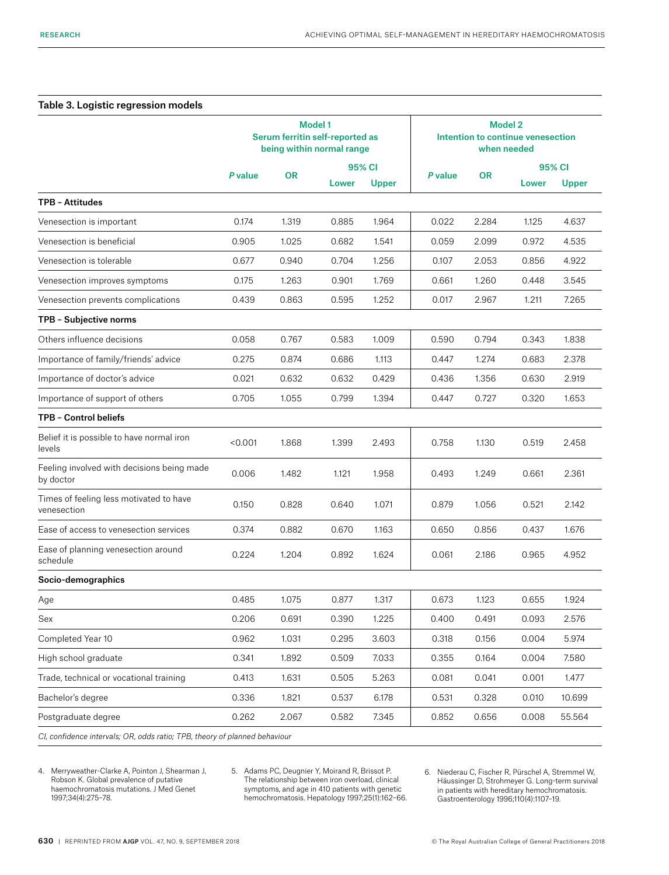#### Table 3. Logistic regression models

|                                                                            | <b>Model 1</b><br>Serum ferritin self-reported as<br>being within normal range |           |       |              | <b>Model 2</b><br>Intention to continue venesection<br>when needed |           |       |              |  |
|----------------------------------------------------------------------------|--------------------------------------------------------------------------------|-----------|-------|--------------|--------------------------------------------------------------------|-----------|-------|--------------|--|
|                                                                            | P value                                                                        | <b>OR</b> |       | 95% CI       | P value                                                            | <b>OR</b> |       | 95% CI       |  |
|                                                                            |                                                                                |           | Lower | <b>Upper</b> |                                                                    |           | Lower | <b>Upper</b> |  |
| TPB - Attitudes                                                            |                                                                                |           |       |              |                                                                    |           |       |              |  |
| Venesection is important                                                   | 0.174                                                                          | 1.319     | 0.885 | 1.964        | 0.022                                                              | 2.284     | 1.125 | 4.637        |  |
| Venesection is beneficial                                                  | 0.905                                                                          | 1.025     | 0.682 | 1.541        | 0.059                                                              | 2.099     | 0.972 | 4.535        |  |
| Venesection is tolerable                                                   | 0.677                                                                          | 0.940     | 0.704 | 1.256        | 0.107                                                              | 2.053     | 0.856 | 4.922        |  |
| Venesection improves symptoms                                              | 0.175                                                                          | 1.263     | 0.901 | 1.769        | 0.661                                                              | 1.260     | 0.448 | 3.545        |  |
| Venesection prevents complications                                         | 0.439                                                                          | 0.863     | 0.595 | 1.252        | 0.017                                                              | 2.967     | 1.211 | 7.265        |  |
| TPB - Subjective norms                                                     |                                                                                |           |       |              |                                                                    |           |       |              |  |
| Others influence decisions                                                 | 0.058                                                                          | 0.767     | 0.583 | 1.009        | 0.590                                                              | 0.794     | 0.343 | 1.838        |  |
| Importance of family/friends' advice                                       | 0.275                                                                          | 0.874     | 0.686 | 1.113        | 0.447                                                              | 1.274     | 0.683 | 2.378        |  |
| Importance of doctor's advice                                              | 0.021                                                                          | 0.632     | 0.632 | 0.429        | 0.436                                                              | 1.356     | 0.630 | 2.919        |  |
| Importance of support of others                                            | 0.705                                                                          | 1.055     | 0.799 | 1.394        | 0.447                                                              | 0.727     | 0.320 | 1.653        |  |
| TPB - Control beliefs                                                      |                                                                                |           |       |              |                                                                    |           |       |              |  |
| Belief it is possible to have normal iron<br>levels                        | < 0.001                                                                        | 1.868     | 1.399 | 2.493        | 0.758                                                              | 1.130     | 0.519 | 2.458        |  |
| Feeling involved with decisions being made<br>by doctor                    | 0.006                                                                          | 1.482     | 1.121 | 1.958        | 0.493                                                              | 1.249     | 0.661 | 2.361        |  |
| Times of feeling less motivated to have<br>venesection                     | 0.150                                                                          | 0.828     | 0.640 | 1.071        | 0.879                                                              | 1.056     | 0.521 | 2.142        |  |
| Ease of access to venesection services                                     | 0.374                                                                          | 0.882     | 0.670 | 1.163        | 0.650                                                              | 0.856     | 0.437 | 1.676        |  |
| Ease of planning venesection around<br>schedule                            | 0.224                                                                          | 1.204     | 0.892 | 1.624        | 0.061                                                              | 2.186     | 0.965 | 4.952        |  |
| Socio-demographics                                                         |                                                                                |           |       |              |                                                                    |           |       |              |  |
| Age                                                                        | 0.485                                                                          | 1.075     | 0.877 | 1.317        | 0.673                                                              | 1.123     | 0.655 | 1.924        |  |
| Sex                                                                        | 0.206                                                                          | 0.691     | 0.390 | 1.225        | 0.400                                                              | 0.491     | 0.093 | 2.576        |  |
| Completed Year 10                                                          | 0.962                                                                          | 1.031     | 0.295 | 3.603        | 0.318                                                              | 0.156     | 0.004 | 5.974        |  |
| High school graduate                                                       | 0.341                                                                          | 1.892     | 0.509 | 7.033        | 0.355                                                              | 0.164     | 0.004 | 7.580        |  |
| Trade, technical or vocational training                                    | 0.413                                                                          | 1.631     | 0.505 | 5.263        | 0.081                                                              | 0.041     | 0.001 | 1.477        |  |
| Bachelor's degree                                                          | 0.336                                                                          | 1.821     | 0.537 | 6.178        | 0.531                                                              | 0.328     | 0.010 | 10.699       |  |
| Postgraduate degree                                                        | 0.262                                                                          | 2.067     | 0.582 | 7.345        | 0.852                                                              | 0.656     | 0.008 | 55.564       |  |
| CI, confidence intervals; OR, odds ratio; TPB, theory of planned behaviour |                                                                                |           |       |              |                                                                    |           |       |              |  |

4. Merryweather-Clarke A, Pointon J, Shearman J, Robson K. Global prevalence of putative haemochromatosis mutations. J Med Genet 1997;34(4):275–78.

5. Adams PC, Deugnier Y, Moirand R, Brissot P. The relationship between iron overload, clinical symptoms, and age in 410 patients with genetic hemochromatosis. Hepatology 1997;25(1):162–66. 6. Niederau C, Fischer R, Pürschel A, Stremmel W, Häussinger D, Strohmeyer G. Long-term survival in patients with hereditary hemochromatosis. Gastroenterology 1996;110(4):1107–19.